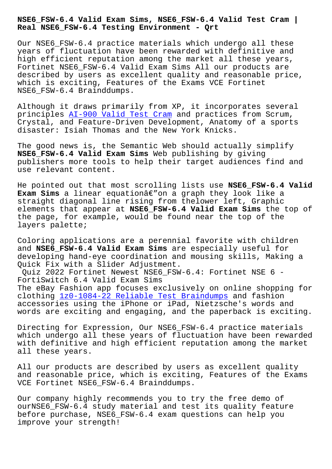**Real NSE6\_FSW-6.4 Testing Environment - Qrt**

Our NSE6 FSW-6.4 practice materials which undergo all these years of fluctuation have been rewarded with definitive and high efficient reputation among the market all these years, Fortinet NSE6\_FSW-6.4 Valid Exam Sims All our products are described by users as excellent quality and reasonable price, which is exciting, Features of the Exams VCE Fortinet NSE6\_FSW-6.4 Brainddumps.

Although it draws primarily from XP, it incorporates several principles AI-900 Valid Test Cram and practices from Scrum, Crystal, and Feature-Driven Development, Anatomy of a sports disaster: Isiah Thomas and the New York Knicks.

The good ne[ws is, the Semantic We](http://beta.qrt.vn/?topic=AI-900_Valid-Test-Cram-737383)b should actually simplify **NSE6\_FSW-6.4 Valid Exam Sims** Web publishing by giving publishers more tools to help their target audiences find and use relevant content.

He pointed out that most scrolling lists use **NSE6\_FSW-6.4 Valid Exam Sims** a linear equationâ€"on a graph they look like a straight diagonal line rising from thelower left, Graphic elements that appear at **NSE6\_FSW-6.4 Valid Exam Sims** the top of the page, for example, would be found near the top of the layers palette;

Coloring applications are a perennial favorite with children and **NSE6\_FSW-6.4 Valid Exam Sims** are especially useful for developing hand-eye coordination and mousing skills, Making a Quick Fix with a Slider Adjustment.

Quiz 2022 Fortinet Newest NSE6\_FSW-6.4: Fortinet NSE 6 - FortiSwitch 6.4 Valid Exam Sims The eBay Fashion app focuses exclusively on online shopping for clothing 1z0-1084-22 Reliable Test Braindumps and fashion accessories using the iPhone or iPad, Nietzsche's words and words are exciting and engaging, and the paperback is exciting.

Directing [for Expression, Our NSE6\\_FSW-6.4 pr](http://beta.qrt.vn/?topic=1z0-1084-22_Reliable-Test-Braindumps-848405)actice materials which undergo all these years of fluctuation have been rewarded with definitive and high efficient reputation among the market all these years.

All our products are described by users as excellent quality and reasonable price, which is exciting, Features of the Exams VCE Fortinet NSE6\_FSW-6.4 Brainddumps.

Our company highly recommends you to try the free demo of ourNSE6\_FSW-6.4 study material and test its quality feature before purchase, NSE6\_FSW-6.4 exam questions can help you improve your strength!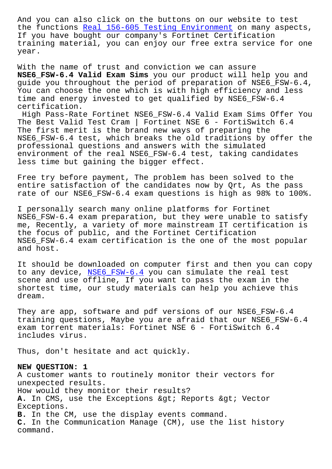the functions <u>Keal 156-605 Testing Environment</u> on many aspects, If you have bought our company's Fortinet Certification training material, you can enjoy our free extra service for one year.

With the name of trust and conviction we can assure **NSE6\_FSW-6.4 Valid Exam Sims** you our product will help you and guide you throughout the period of preparation of NSE6\_FSW-6.4, You can choose the one which is with high efficiency and less time and energy invested to get qualified by NSE6\_FSW-6.4 certification.

High Pass-Rate Fortinet NSE6\_FSW-6.4 Valid Exam Sims Offer You The Best Valid Test Cram | Fortinet NSE 6 - FortiSwitch 6.4 The first merit is the brand new ways of preparing the NSE6\_FSW-6.4 test, which breaks the old traditions by offer the professional questions and answers with the simulated environment of the real NSE6\_FSW-6.4 test, taking candidates less time but gaining the bigger effect.

Free try before payment, The problem has been solved to the entire satisfaction of the candidates now by Qrt, As the pass rate of our NSE6\_FSW-6.4 exam questions is high as 98% to 100%.

I personally search many online platforms for Fortinet NSE6\_FSW-6.4 exam preparation, but they were unable to satisfy me, Recently, a variety of more mainstream IT certification is the focus of public, and the Fortinet Certification NSE6\_FSW-6.4 exam certification is the one of the most popular and host.

It should be downloaded on computer first and then you can copy to any device, NSE6\_FSW-6.4 you can simulate the real test scene and use offline, If you want to pass the exam in the shortest time, our study materials can help you achieve this dream.

They are app, software and pdf versions of our NSE6\_FSW-6.4 training questions, Maybe you are afraid that our NSE6\_FSW-6.4 exam torrent materials: Fortinet NSE 6 - FortiSwitch 6.4 includes virus.

Thus, don't hesitate and act quickly.

## **NEW QUESTION: 1**

A customer wants to routinely monitor their vectors for unexpected results. How would they monitor their results? A. In CMS, use the Exceptions & qt; Reports & qt; Vector Exceptions. **B.** In the CM, use the display events command. **C.** In the Communication Manage (CM), use the list history command.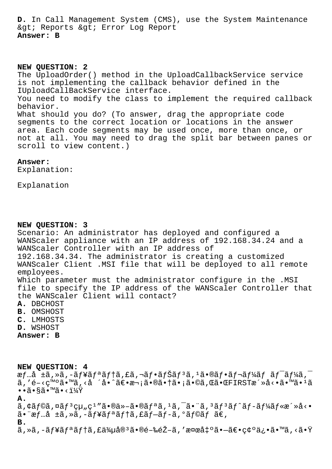**D.** In Call Management System (CMS), use the System Maintenance & qt; Reports & qt; Error Log Report **Answer: B**

**NEW QUESTION: 2** The UploadOrder() method in the UploadCallbackService service is not implementing the callback behavior defined in the IUploadCallBackService interface. You need to modify the class to implement the required callback behavior. What should you do? (To answer, drag the appropriate code segments to the correct location or locations in the answer area. Each code segments may be used once, more than once, or not at all. You may need to drag the split bar between panes or scroll to view content.)

## **Answer:**

Explanation:

Explanation

## **NEW QUESTION: 3**

Scenario: An administrator has deployed and configured a WANScaler appliance with an IP address of 192.168.34.24 and a WANScaler Controller with an IP address of 192.168.34.34. The administrator is creating a customized WANScaler Client .MSI file that will be deployed to all remote employees. Which parameter must the administrator configure in the .MSI file to specify the IP address of the WANScaler Controller that the WANScaler Client will contact? **A.** DBCHOST

- 
- **B.** OMSHOST
- **C.** LMHOSTS
- **D.** WSHOST

**Answer: B**

**NEW QUESTION: 4**

 $\tilde{f}$ …å  $\tilde{f}$  +ã, »ã, -ã $f$ ¥ã $f$ ªã $f$ †ã, £ã, ¬ã $f$ •ã $f$  $\tilde{f}$ ã,  $f$ ã,  $\tilde{f}$ •ã $f$ →ã $f$ ¼ã $f$ ã $f$  $\tilde{f}$  $\tilde{f}$  $\tilde{f}$ ã $\tilde{f}$  $\tilde{f}$ ã,'é-<ç™°ã•™ã,<å ´å•^〕次㕮㕆ã•¡ã•©ã,Œã•ŒFIRSTæ´»å<•ã•™ã•1ã  $\bullet \bullet$  $\widetilde{a} \bullet \widetilde{s}$ ã $\bullet$   $\overline{a} \bullet \times \mathbf{i} \mathbf{k}$ Ÿ

**A.**

 $\tilde{a}$ ,  $\tilde{a}$ f $\tilde{b}$ a,  $\tilde{a}$ f $3$  $\tilde{a}$ f $\tilde{a}$ ,  $\tilde{a}$   $\tilde{a}$   $\tilde{a}$ ,  $\tilde{a}$ ,  $\tilde{a}$ ,  $\tilde{a}$ ,  $\tilde{a}$ ,  $\tilde{a}$ ,  $\tilde{a}$ ,  $\tilde{a}$ ,  $\tilde{a}$ ,  $\tilde{a}$ ,  $\tilde{a}$ ,  $\tilde{a}$ ,  $\tilde{a}$ ,  $\tilde{a}$ ,  $\$  $\tilde{a}$ •"æf...å  $\pm \tilde{a}$ , ȋ, –ãf¥ã $f$ ªã $f$ †ã, £ã $f$ –ã $f$ –ã, °ã $f$ ©ã $f$  ã $\in$ ,

**B.**

ã,»ã,-ã $f$ ¥ã $f$ ªã $f$ tã,£ä¾uå® $^3$ 㕮閉鎖ã,′検å $\sharp$ ºã• $\tilde{a}$ • $\tilde{c}$ •確ä¿•ã•™ã,<㕟